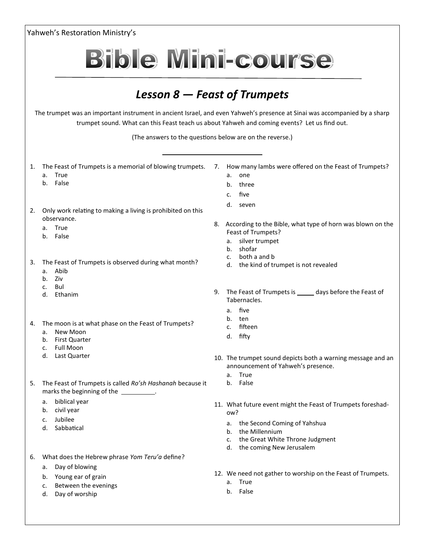| Yahweh's Restoration Ministry's                                                                                                                                                                                                                                                                                         |                                                                                                                                                                      |
|-------------------------------------------------------------------------------------------------------------------------------------------------------------------------------------------------------------------------------------------------------------------------------------------------------------------------|----------------------------------------------------------------------------------------------------------------------------------------------------------------------|
| <b>Bible Mini-course</b>                                                                                                                                                                                                                                                                                                |                                                                                                                                                                      |
| Lesson $8$ – Feast of Trumpets<br>The trumpet was an important instrument in ancient Israel, and even Yahweh's presence at Sinai was accompanied by a sharp<br>trumpet sound. What can this Feast teach us about Yahweh and coming events? Let us find out.<br>(The answers to the questions below are on the reverse.) |                                                                                                                                                                      |
|                                                                                                                                                                                                                                                                                                                         |                                                                                                                                                                      |
| 1.<br>True<br>a.<br>False<br>b.                                                                                                                                                                                                                                                                                         | The Feast of Trumpets is a memorial of blowing trumpets. 7. How many lambs were offered on the Feast of Trumpets?<br>one<br>a.<br>three<br>b.<br>five<br>$C_{\cdot}$ |
| Only work relating to making a living is prohibited on this<br>2.<br>observance.                                                                                                                                                                                                                                        | d. seven                                                                                                                                                             |
| True<br>а.<br>b. False                                                                                                                                                                                                                                                                                                  | 8. According to the Bible, what type of horn was blown on the<br>Feast of Trumpets?<br>silver trumpet<br>а.<br>shofar<br>b.                                          |
| The Feast of Trumpets is observed during what month?<br>3.<br>Abib<br>a.<br>Ziv<br>b.<br>Bul<br>$\mathsf{C}$ .                                                                                                                                                                                                          | both a and b<br>c.<br>the kind of trumpet is not revealed<br>d.                                                                                                      |
| d. Ethanim                                                                                                                                                                                                                                                                                                              | The Feast of Trumpets is ______ days before the Feast of<br>9.<br>Tabernacles.                                                                                       |
| The moon is at what phase on the Feast of Trumpets?<br>4.<br>a. New Moon<br><b>First Quarter</b><br>b.<br><b>Full Moon</b><br>c.                                                                                                                                                                                        | five<br>a.<br>ten<br>b.<br>fifteen<br>c.<br>d. fifty                                                                                                                 |
| Last Quarter<br>d.                                                                                                                                                                                                                                                                                                      | 10. The trumpet sound depicts both a warning message and an<br>announcement of Yahweh's presence.<br>True<br>a.                                                      |
| The Feast of Trumpets is called Ro'sh Hashanah because it<br>5.<br>marks the beginning of the __________.                                                                                                                                                                                                               | b. False                                                                                                                                                             |
| biblical year<br>а.<br>civil year<br>b.<br>Jubilee<br>$C_{\star}$                                                                                                                                                                                                                                                       | 11. What future event might the Feast of Trumpets foreshad-<br>ow?                                                                                                   |
| Sabbatical<br>d.                                                                                                                                                                                                                                                                                                        | a. the Second Coming of Yahshua<br>b. the Millennium<br>c. the Great White Throne Judgment<br>the coming New Jerusalem<br>d.                                         |
| What does the Hebrew phrase Yom Teru'a define?<br>6.                                                                                                                                                                                                                                                                    |                                                                                                                                                                      |
| Day of blowing<br>а.<br>Young ear of grain<br>b.                                                                                                                                                                                                                                                                        | 12. We need not gather to worship on the Feast of Trumpets.<br>a. True                                                                                               |

- c. Between the evenings
- d. Day of worship

b. False